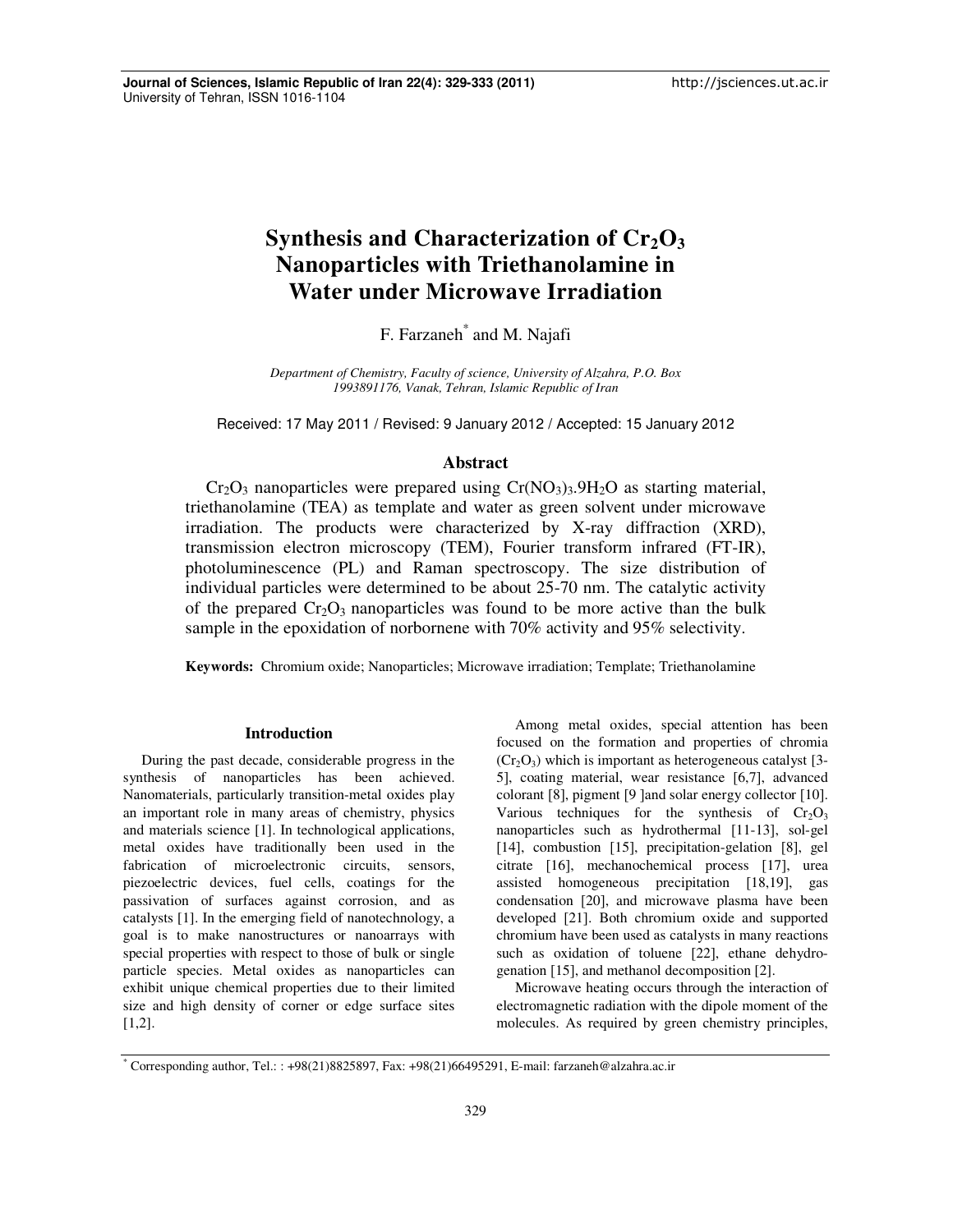# **Synthesis and Characterization of Cr2O<sup>3</sup> Nanoparticles with Triethanolamine in Water under Microwave Irradiation**

F. Farzaneh<sup>\*</sup> and M. Najafi

*Department of Chemistry, Faculty of science, University of Alzahra, P.O. Box 1993891176, Vanak, Tehran, Islamic Republic of Iran*

Received: 17 May 2011 / Revised: 9 January 2012 / Accepted: 15 January 2012

# **Abstract**

 $Cr_2O_3$  nanoparticles were prepared using  $Cr(NO_3)_3.9H_2O$  as starting material, triethanolamine (TEA) as template and water as green solvent under microwave irradiation. The products were characterized by X-ray diffraction (XRD), transmission electron microscopy (TEM), Fourier transform infrared (FT-IR), photoluminescence (PL) and Raman spectroscopy. The size distribution of individual particles were determined to be about 25-70 nm. The catalytic activity of the prepared  $Cr_2O_3$  nanoparticles was found to be more active than the bulk sample in the epoxidation of norbornene with 70% activity and 95% selectivity.

**Keywords:** Chromium oxide; Nanoparticles; Microwave irradiation; Template; Triethanolamine

## **Introduction**

During the past decade, considerable progress in the synthesis of nanoparticles has been achieved. Nanomaterials, particularly transition-metal oxides play an important role in many areas of chemistry, physics and materials science [1]. In technological applications, metal oxides have traditionally been used in the fabrication of microelectronic circuits, sensors, piezoelectric devices, fuel cells, coatings for the passivation of surfaces against corrosion, and as catalysts [1]. In the emerging field of nanotechnology, a goal is to make nanostructures or nanoarrays with special properties with respect to those of bulk or single particle species. Metal oxides as nanoparticles can exhibit unique chemical properties due to their limited size and high density of corner or edge surface sites [1,2].

Among metal oxides, special attention has been focused on the formation and properties of chromia  $(Cr<sub>2</sub>O<sub>3</sub>)$  which is important as heterogeneous catalyst [3-5], coating material, wear resistance [6,7], advanced colorant [8], pigment [9 ] and solar energy collector [10]. Various techniques for the synthesis of  $Cr_2O_3$ nanoparticles such as hydrothermal [11-13], sol-gel [14], combustion [15], precipitation-gelation [8], gel citrate [16], mechanochemical process [17], urea assisted homogeneous precipitation [18,19], gas condensation [20], and microwave plasma have been developed [21]. Both chromium oxide and supported chromium have been used as catalysts in many reactions such as oxidation of toluene [22], ethane dehydrogenation [15], and methanol decomposition [2].

Microwave heating occurs through the interaction of electromagnetic radiation with the dipole moment of the molecules. As required by green chemistry principles,

<sup>\*</sup> Corresponding author, Tel.: : +98(21)8825897, Fax: +98(21)66495291, E-mail: farzaneh@alzahra.ac.ir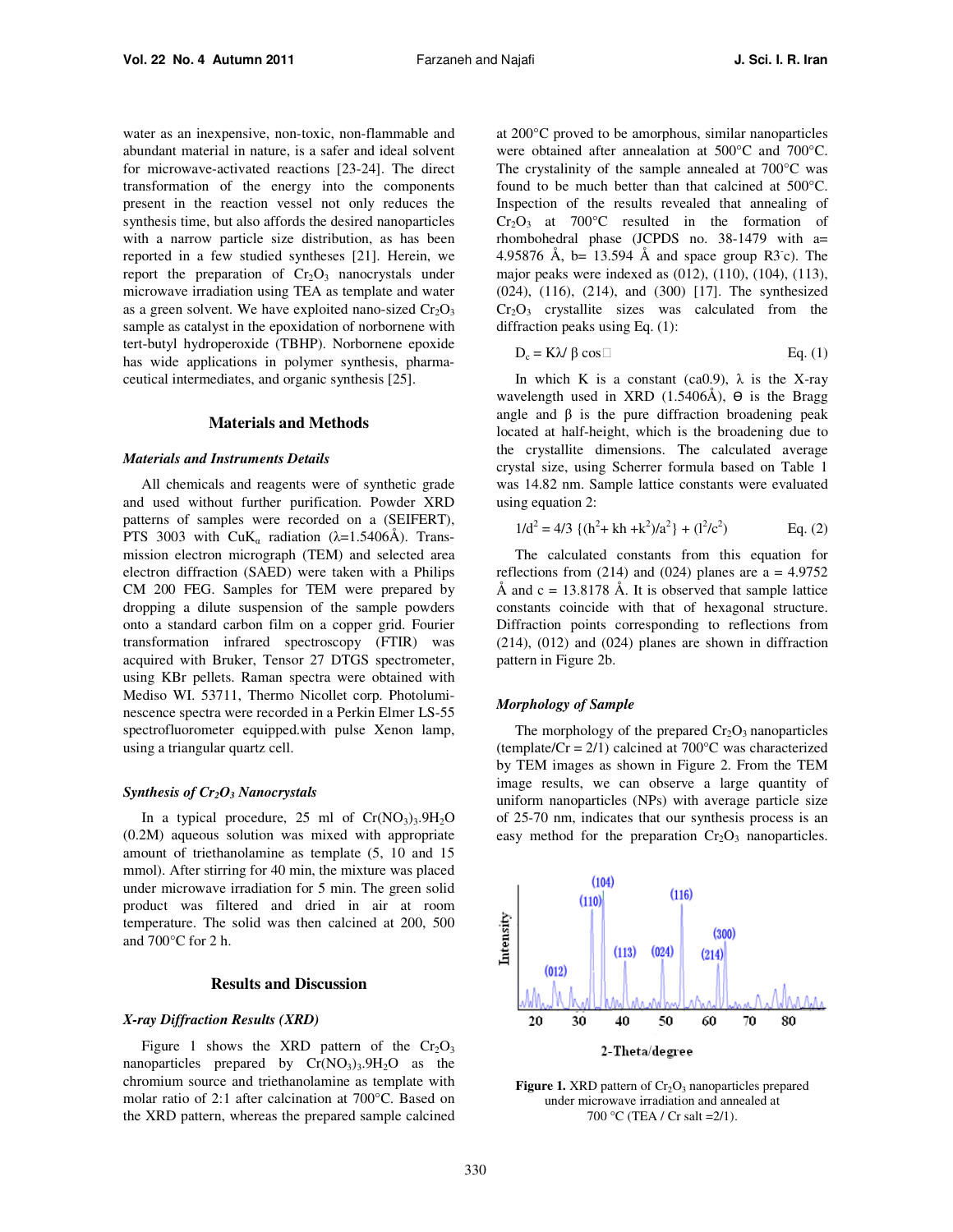water as an inexpensive, non-toxic, non-flammable and abundant material in nature, is a safer and ideal solvent for microwave-activated reactions [23-24]. The direct transformation of the energy into the components present in the reaction vessel not only reduces the synthesis time, but also affords the desired nanoparticles with a narrow particle size distribution, as has been reported in a few studied syntheses [21]. Herein, we report the preparation of  $Cr_2O_3$  nanocrystals under microwave irradiation using TEA as template and water as a green solvent. We have exploited nano-sized  $Cr_2O_3$ sample as catalyst in the epoxidation of norbornene with tert-butyl hydroperoxide (TBHP). Norbornene epoxide has wide applications in polymer synthesis, pharmaceutical intermediates, and organic synthesis [25].

## **Materials and Methods**

#### *Materials and Instruments Details*

All chemicals and reagents were of synthetic grade and used without further purification. Powder XRD patterns of samples were recorded on a (SEIFERT), PTS 3003 with  $CuK_a$  radiation ( $\lambda$ =1.5406Å). Transmission electron micrograph (TEM) and selected area electron diffraction (SAED) were taken with a Philips CM 200 FEG. Samples for TEM were prepared by dropping a dilute suspension of the sample powders onto a standard carbon film on a copper grid. Fourier transformation infrared spectroscopy (FTIR) was acquired with Bruker, Tensor 27 DTGS spectrometer, using KBr pellets. Raman spectra were obtained with Mediso WI. 53711, Thermo Nicollet corp. Photoluminescence spectra were recorded in a Perkin Elmer LS-55 spectrofluorometer equipped.with pulse Xenon lamp, using a triangular quartz cell.

## *Synthesis of Cr2O3 Nanocrystals*

In a typical procedure, 25 ml of  $Cr(NO<sub>3</sub>)<sub>3</sub>$ .9H<sub>2</sub>O (0.2M) aqueous solution was mixed with appropriate amount of triethanolamine as template (5, 10 and 15 mmol). After stirring for 40 min, the mixture was placed under microwave irradiation for 5 min. The green solid product was filtered and dried in air at room temperature. The solid was then calcined at 200, 500 and 700°C for 2 h.

## **Results and Discussion**

## *X-ray Diffraction Results (XRD)*

Figure 1 shows the XRD pattern of the  $Cr_2O_3$ nanoparticles prepared by  $Cr(NO<sub>3</sub>)<sub>3</sub>$ .  $9H<sub>2</sub>O$  as the chromium source and triethanolamine as template with molar ratio of 2:1 after calcination at 700°C. Based on the XRD pattern, whereas the prepared sample calcined

at 200°C proved to be amorphous, similar nanoparticles were obtained after annealation at 500°C and 700°C. The crystalinity of the sample annealed at 700°C was found to be much better than that calcined at 500°C. Inspection of the results revealed that annealing of  $Cr_2O_3$  at  $700^{\circ}$ C resulted in the formation of rhombohedral phase (JCPDS no. 38-1479 with a= 4.95876 Å, b= 13.594 Å and space group R3 $\textdegree$ c). The major peaks were indexed as (012), (110), (104), (113), (024), (116), (214), and (300) [17]. The synthesized  $Cr<sub>2</sub>O<sub>3</sub>$  crystallite sizes was calculated from the diffraction peaks using Eq. (1):

$$
D_c = K\lambda / \beta \cos \Box
$$
 Eq. (1)

In which K is a constant (ca0.9),  $\lambda$  is the X-ray wavelength used in XRD  $(1.5406\text{\AA})$ ,  $\Theta$  is the Bragg angle and β is the pure diffraction broadening peak located at half-height, which is the broadening due to the crystallite dimensions. The calculated average crystal size, using Scherrer formula based on Table 1 was 14.82 nm. Sample lattice constants were evaluated using equation 2:

$$
1/d^2 = 4/3 \{ (h^2 + kh + k^2)/a^2 \} + (l^2/c^2)
$$
 Eq. (2)

The calculated constants from this equation for reflections from  $(214)$  and  $(024)$  planes are a = 4.9752 Å and  $c = 13.8178$  Å. It is observed that sample lattice constants coincide with that of hexagonal structure. Diffraction points corresponding to reflections from (214), (012) and (024) planes are shown in diffraction pattern in Figure 2b.

#### *Morphology of Sample*

The morphology of the prepared  $Cr_2O_3$  nanoparticles (template/ $Cr = 2/1$ ) calcined at 700 $\degree$ C was characterized by TEM images as shown in Figure 2. From the TEM image results, we can observe a large quantity of uniform nanoparticles (NPs) with average particle size of 25-70 nm, indicates that our synthesis process is an easy method for the preparation  $Cr_2O_3$  nanoparticles.



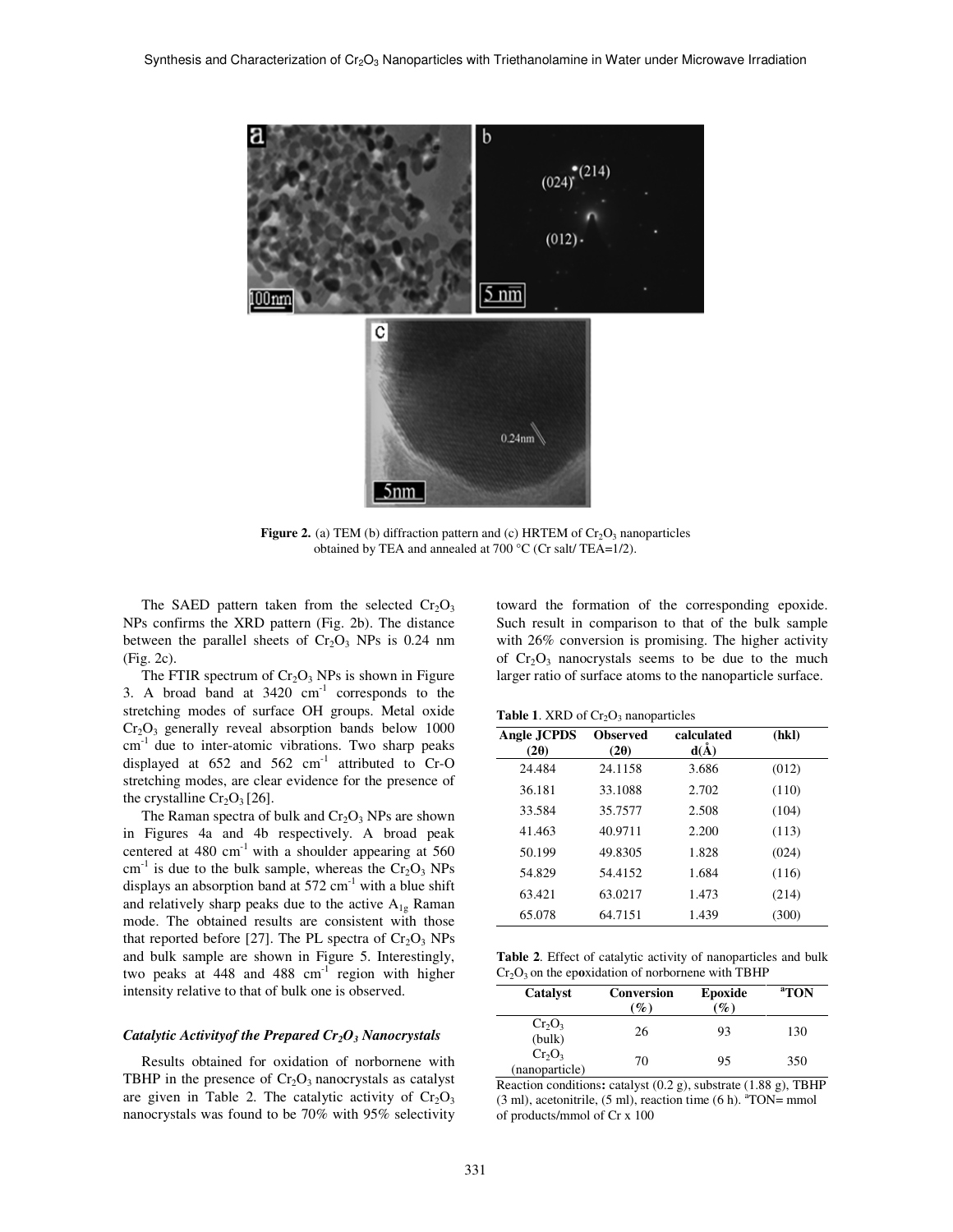

**Figure 2.** (a) TEM (b) diffraction pattern and (c) HRTEM of  $Cr_2O_3$  nanoparticles obtained by TEA and annealed at 700 °C (Cr salt/ TEA=1/2).

The SAED pattern taken from the selected  $Cr_2O_3$ NPs confirms the XRD pattern (Fig. 2b). The distance between the parallel sheets of  $Cr_2O_3$  NPs is 0.24 nm (Fig. 2c).

The FTIR spectrum of  $Cr_2O_3$  NPs is shown in Figure 3. A broad band at  $3420 \text{ cm}^{-1}$  corresponds to the stretching modes of surface OH groups. Metal oxide  $Cr<sub>2</sub>O<sub>3</sub>$  generally reveal absorption bands below 1000  $cm<sup>-1</sup>$  due to inter-atomic vibrations. Two sharp peaks displayed at  $652$  and  $562$  cm<sup>-1</sup> attributed to  $Cr-O$ stretching modes, are clear evidence for the presence of the crystalline  $Cr_2O_3$  [26].

The Raman spectra of bulk and  $Cr_2O_3$  NPs are shown in Figures 4a and 4b respectively. A broad peak centered at  $480 \text{ cm}^{-1}$  with a shoulder appearing at  $560$  $\text{cm}^{-1}$  is due to the bulk sample, whereas the  $\text{Cr}_2\text{O}_3$  NPs displays an absorption band at  $572 \text{ cm}^{-1}$  with a blue shift and relatively sharp peaks due to the active  $A_{1g}$  Raman mode. The obtained results are consistent with those that reported before [27]. The PL spectra of  $Cr_2O_3$  NPs and bulk sample are shown in Figure 5. Interestingly, two peaks at 448 and 488 cm<sup>-1</sup> region with higher intensity relative to that of bulk one is observed.

## *Catalytic Activityof the Prepared Cr2O3 Nanocrystals*

Results obtained for oxidation of norbornene with TBHP in the presence of  $Cr_2O_3$  nanocrystals as catalyst are given in Table 2. The catalytic activity of  $Cr_2O_3$ nanocrystals was found to be 70% with 95% selectivity toward the formation of the corresponding epoxide. Such result in comparison to that of the bulk sample with 26% conversion is promising. The higher activity of  $Cr_2O_3$  nanocrystals seems to be due to the much larger ratio of surface atoms to the nanoparticle surface.

**Table 1.** XRD of  $Cr_2O_3$  nanoparticles

| Angle JCPDS<br>$(2\theta)$ | <b>Observed</b><br>(20) | calculated<br>$d(\AA)$ | (hkl) |  |
|----------------------------|-------------------------|------------------------|-------|--|
| 24.484                     | 24.1158                 | 3.686                  | (012) |  |
| 36.181                     | 33.1088                 | 2.702                  | (110) |  |
| 33.584                     | 35.7577                 | 2.508                  | (104) |  |
| 41.463                     | 40.9711                 | 2.200                  | (113) |  |
| 50.199                     | 49.8305                 | 1.828                  | (024) |  |
| 54.829                     | 54.4152                 | 1.684                  | (116) |  |
| 63.421                     | 63.0217                 | 1.473                  | (214) |  |
| 65.078                     | 64.7151                 | 1.439                  | (300) |  |

**Table 2**. Effect of catalytic activity of nanoparticles and bulk  $Cr<sub>2</sub>O<sub>3</sub>$  on the epoxidation of norbornene with TBHP

| <b>Catalyst</b>             | <b>Conversion</b><br>$\%$ | Epoxide<br>$\mathscr{G}_o$ | <sup>a</sup> TON |
|-----------------------------|---------------------------|----------------------------|------------------|
| $Cr_2O_3$<br>(bulk)         | 26                        | 93                         | 130              |
| $Cr_2O_3$<br>(nanoparticle) | 70                        | 95                         | 350              |

Reaction conditions**:** catalyst (0.2 g), substrate (1.88 g), TBHP  $(3 \text{ ml})$ , acetonitrile,  $(5 \text{ ml})$ , reaction time  $(6 \text{ h})$ .  $\text{r}$ <sup>a</sup>TON= mmol of products/mmol of Cr x 100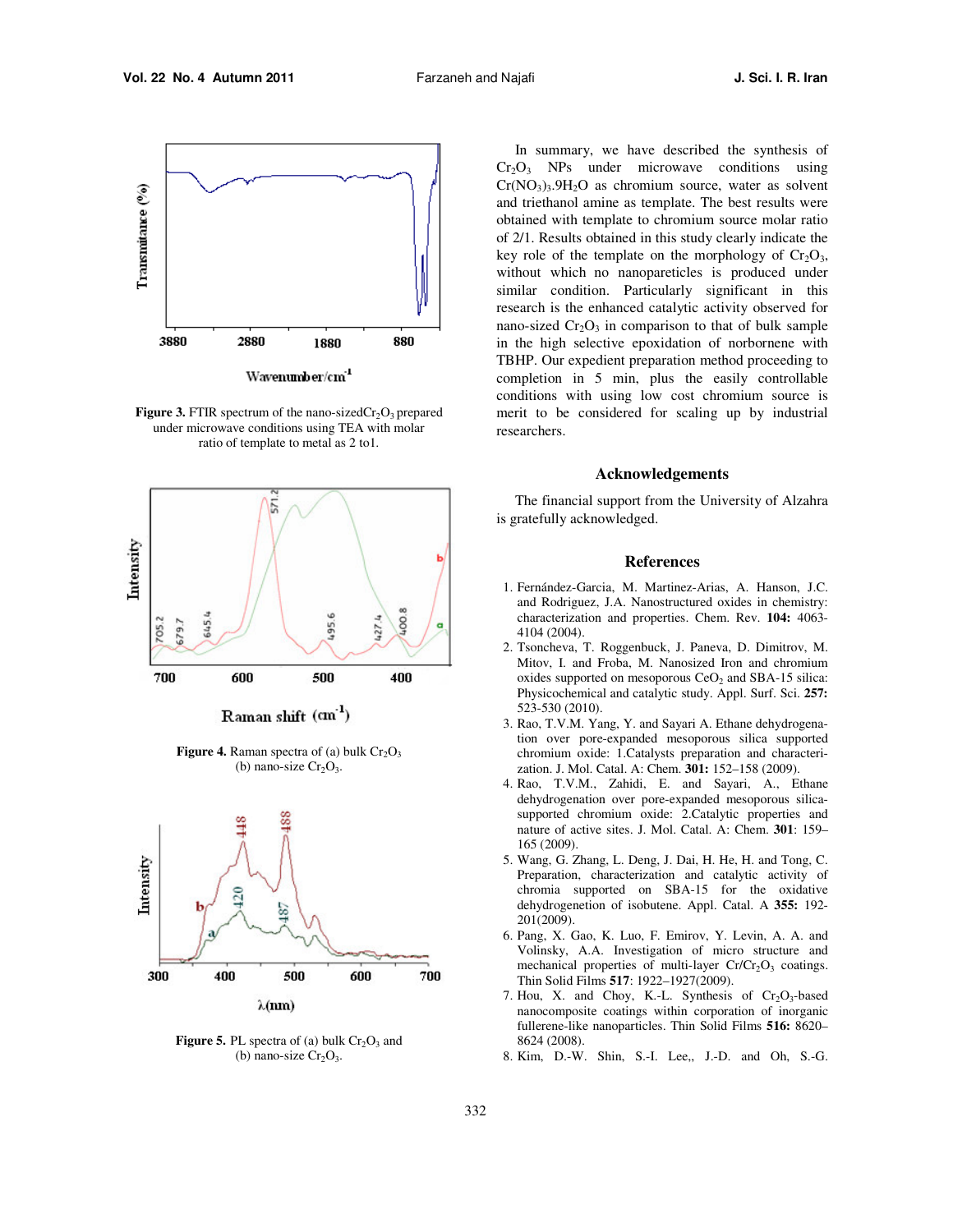

Wavenumber/cm<sup>-1</sup>

**Figure 3.** FTIR spectrum of the nano-sized $Cr_2O_3$  prepared under microwave conditions using TEA with molar ratio of template to metal as 2 to1.



Raman shift (cm<sup>-1</sup>)

**Figure 4.** Raman spectra of (a) bulk  $Cr_2O_3$ (b) nano-size  $Cr_2O_3$ .



**Figure 5.** PL spectra of (a) bulk  $Cr_2O_3$  and (b) nano-size  $Cr_2O_3$ .

In summary, we have described the synthesis of  $Cr<sub>2</sub>O<sub>3</sub>$  NPs under microwave conditions using  $Cr(NO<sub>3</sub>)<sub>3</sub>$ .  $9H<sub>2</sub>O$  as chromium source, water as solvent and triethanol amine as template. The best results were obtained with template to chromium source molar ratio of 2/1. Results obtained in this study clearly indicate the key role of the template on the morphology of  $Cr_2O_3$ , without which no nanopareticles is produced under similar condition. Particularly significant in this research is the enhanced catalytic activity observed for nano-sized  $Cr_2O_3$  in comparison to that of bulk sample in the high selective epoxidation of norbornene with TBHP. Our expedient preparation method proceeding to completion in 5 min, plus the easily controllable conditions with using low cost chromium source is merit to be considered for scaling up by industrial researchers.

## **Acknowledgements**

The financial support from the University of Alzahra is gratefully acknowledged.

## **References**

- 1. Fernández-Garcia, M. Martinez-Arias, A. Hanson, J.C. and Rodriguez, J.A. Nanostructured oxides in chemistry: characterization and properties. Chem. Rev. **104:** 4063- 4104 (2004).
- 2. Tsoncheva, T. Roggenbuck, J. Paneva, D. Dimitrov, M. Mitov, I. and Froba, M. Nanosized Iron and chromium oxides supported on mesoporous  $CeO<sub>2</sub>$  and SBA-15 silica: Physicochemical and catalytic study. Appl. Surf. Sci. **257:** 523-530 (2010).
- 3. Rao, T.V.M. Yang, Y. and Sayari A. Ethane dehydrogenation over pore-expanded mesoporous silica supported chromium oxide: 1.Catalysts preparation and characterization. J. Mol. Catal. A: Chem. **301:** 152–158 (2009).
- 4. Rao, T.V.M., Zahidi, E. and Sayari, A., Ethane dehydrogenation over pore-expanded mesoporous silicasupported chromium oxide: 2.Catalytic properties and nature of active sites. J. Mol. Catal. A: Chem. **301**: 159– 165 (2009).
- 5. Wang, G. Zhang, L. Deng, J. Dai, H. He, H. and Tong, C. Preparation, characterization and catalytic activity of chromia supported on SBA-15 for the oxidative dehydrogenetion of isobutene. Appl. Catal. A **355:** 192- 201(2009).
- 6. Pang, X. Gao, K. Luo, F. Emirov, Y. Levin, A. A. and Volinsky, A.A. Investigation of micro structure and mechanical properties of multi-layer  $Cr/Cr_2O_3$  coatings. Thin Solid Films **517**: 1922–1927(2009).
- 7. Hou, X. and Choy, K.-L. Synthesis of  $Cr_2O_3$ -based nanocomposite coatings within corporation of inorganic fullerene-like nanoparticles. Thin Solid Films **516:** 8620– 8624 (2008).
- 8. Kim, D.-W. Shin, S.-I. Lee,, J.-D. and Oh, S.-G.